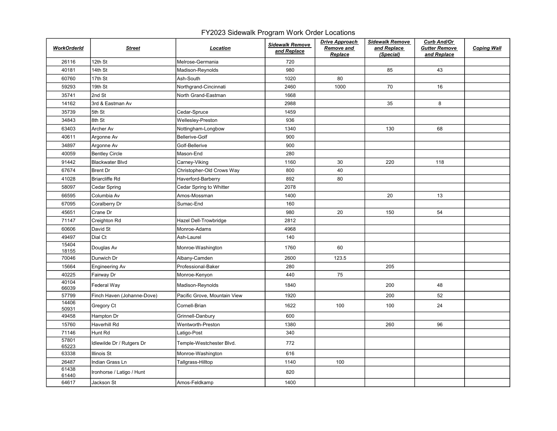## FY2023 Sidewalk Program Work Order Locations

| <b>WorkOrderId</b> | <b>Street</b>              | Location                     | <b>Sidewalk Remove</b><br>and Replace | <b>Drive Approach</b><br>Remove and<br>Replace | <b>Sidewalk Remove</b><br>and Replace<br>(Special) | Curb And/Or<br><b>Gutter Remove</b><br>and Replace | <b>Coping Wall</b> |
|--------------------|----------------------------|------------------------------|---------------------------------------|------------------------------------------------|----------------------------------------------------|----------------------------------------------------|--------------------|
| 26116              | 12th St                    | Melrose-Germania             | 720                                   |                                                |                                                    |                                                    |                    |
| 40181              | 14th St                    | Madison-Reynolds             | 980                                   |                                                | 85                                                 | 43                                                 |                    |
| 60760              | 17th St                    | Ash-South                    | 1020                                  | 80                                             |                                                    |                                                    |                    |
| 59293              | 19th St                    | Northgrand-Cincinnati        | 2460                                  | 1000                                           | 70                                                 | 16                                                 |                    |
| 35741              | 2nd St                     | North Grand-Eastman          | 1668                                  |                                                |                                                    |                                                    |                    |
| 14162              | 3rd & Eastman Av           |                              | 2988                                  |                                                | 35                                                 | 8                                                  |                    |
| 35739              | 5th St                     | Cedar-Spruce                 | 1459                                  |                                                |                                                    |                                                    |                    |
| 34843              | 8th St                     | Wellesley-Preston            | 936                                   |                                                |                                                    |                                                    |                    |
| 63403              | Archer Av                  | Nottingham-Longbow           | 1340                                  |                                                | 130                                                | 68                                                 |                    |
| 40611              | Argonne Av                 | <b>Bellerive-Golf</b>        | 900                                   |                                                |                                                    |                                                    |                    |
| 34897              | Argonne Av                 | Golf-Bellerive               | 900                                   |                                                |                                                    |                                                    |                    |
| 40059              | <b>Bentley Circle</b>      | Mason-End                    | 280                                   |                                                |                                                    |                                                    |                    |
| 91442              | <b>Blackwater Blvd</b>     | Carney-Viking                | 1160                                  | 30                                             | 220                                                | 118                                                |                    |
| 67674              | <b>Brent Dr</b>            | Christopher-Old Crows Way    | 800                                   | 40                                             |                                                    |                                                    |                    |
| 41028              | <b>Briarcliffe Rd</b>      | Haverford-Barberry           | 892                                   | 80                                             |                                                    |                                                    |                    |
| 58097              | Cedar Spring               | Cedar Spring to Whitter      | 2078                                  |                                                |                                                    |                                                    |                    |
| 66595              | Columbia Av                | Amos-Mossman                 | 1400                                  |                                                | 20                                                 | 13                                                 |                    |
| 67095              | Coralberry Dr              | Sumac-End                    | 160                                   |                                                |                                                    |                                                    |                    |
| 45651              | Crane Dr                   |                              | 980                                   | 20                                             | 150                                                | 54                                                 |                    |
| 71147              | Creighton Rd               | Hazel Dell-Trowbridge        | 2812                                  |                                                |                                                    |                                                    |                    |
| 60606              | David St                   | Monroe-Adams                 | 4968                                  |                                                |                                                    |                                                    |                    |
| 49497              | Dial Ct                    | Ash-Laurel                   | 140                                   |                                                |                                                    |                                                    |                    |
| 15404<br>18155     | Douglas Av                 | Monroe-Washington            | 1760                                  | 60                                             |                                                    |                                                    |                    |
| 70046              | Dunwich Dr                 | Albany-Camden                | 2600                                  | 123.5                                          |                                                    |                                                    |                    |
| 15664              | <b>Engineering Av</b>      | Professional-Baker           | 280                                   |                                                | 205                                                |                                                    |                    |
| 40225              | Fairway Dr                 | Monroe-Kenyon                | 440                                   | 75                                             |                                                    |                                                    |                    |
| 40104<br>66039     | <b>Federal Way</b>         | Madison-Reynolds             | 1840                                  |                                                | 200                                                | 48                                                 |                    |
| 57799              | Finch Haven (Johanne-Dove) | Pacific Grove, Mountain View | 1920                                  |                                                | 200                                                | 52                                                 |                    |
| 14406<br>50931     | Gregory Ct                 | Cornell-Brian                | 1622                                  | 100                                            | 100                                                | 24                                                 |                    |
| 49458              | Hampton Dr                 | Grinnell-Danbury             | 600                                   |                                                |                                                    |                                                    |                    |
| 15760              | Haverhill Rd               | Wentworth-Preston            | 1380                                  |                                                | 260                                                | 96                                                 |                    |
| 71146              | Hunt Rd                    | Latigo-Post                  | 340                                   |                                                |                                                    |                                                    |                    |
| 57801<br>65223     | Idlewilde Dr / Rutgers Dr  | Temple-Westchester Blvd.     | 772                                   |                                                |                                                    |                                                    |                    |
| 63338              | <b>Illinois St</b>         | Monroe-Washington            | 616                                   |                                                |                                                    |                                                    |                    |
| 26487              | Indian Grass Ln            | Tallgrass-Hilltop            | 1140                                  | 100                                            |                                                    |                                                    |                    |
| 61438<br>61440     | Ironhorse / Latigo / Hunt  |                              | 820                                   |                                                |                                                    |                                                    |                    |
| 64617              | Jackson St                 | Amos-Feldkamp                | 1400                                  |                                                |                                                    |                                                    |                    |